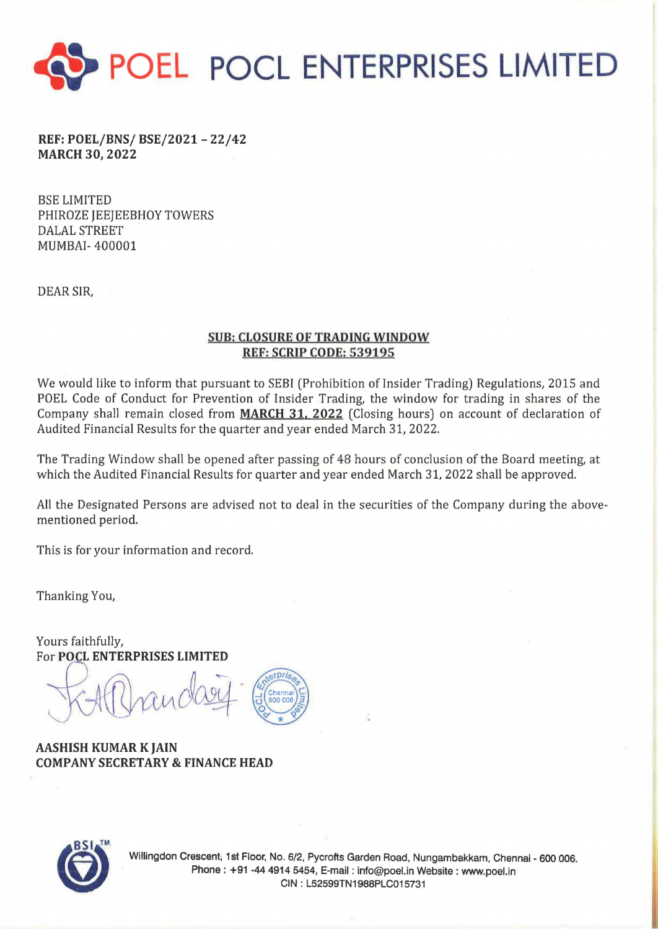

REF: POEL/BNS/ BSE/2021- 22/42 MARCH 30, 2022

BSE LIMITED PHIROZE JEEJEEBHOY TOWERS DALAL STREET MUMBAI- 400001

DEAR SIR,

## SUB: CLOSURE OF TRADING WINDOW REF: SCRIP CODE: 539195

We would like to inform that pursuant to SEBI (Prohibition of Insider Trading) Regulations, 2015 and POEL Code of Conduct for Prevention of Insider Trading, the window for trading in shares of the Company shall remain closed from MARCH 31, 2022 (Closing hours) on account of declaration of Audited Financial Results for the quarter and year ended March 31, 2022.

The Trading Window shall be opened after passing of 48 hours of conclusion of the Board meeting, at which the Audited Financial Results for quarter and year ended March 31, 2022 shall be approved.

All the Designated Persons are advised not to deal in the securities of the Company during the abovementioned period.

This is for your information and record.

Thanking You,

Yours faithfully,<br>For POCL ENTERPRISES LIMITED

AASHISH KUMAR K JAIN COMPANY SECRETARY & FINANCE HEAD